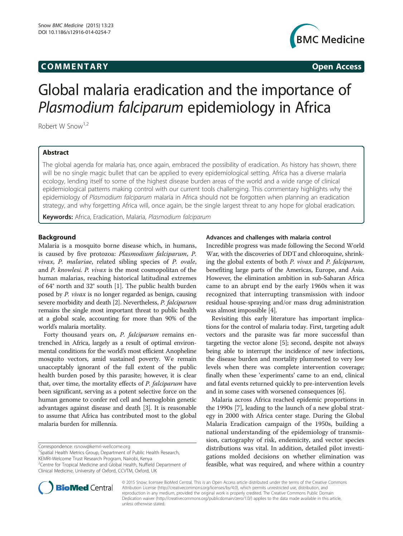# COMM EN TARY Open Access



# Global malaria eradication and the importance of Plasmodium falciparum epidemiology in Africa

Robert W Snow<sup>1,2</sup>

# Abstract

The global agenda for malaria has, once again, embraced the possibility of eradication. As history has shown, there will be no single magic bullet that can be applied to every epidemiological setting. Africa has a diverse malaria ecology, lending itself to some of the highest disease burden areas of the world and a wide range of clinical epidemiological patterns making control with our current tools challenging. This commentary highlights why the epidemiology of Plasmodium falciparum malaria in Africa should not be forgotten when planning an eradication strategy, and why forgetting Africa will, once again, be the single largest threat to any hope for global eradication.

Keywords: Africa, Eradication, Malaria, Plasmodium falciparum

## Background

Malaria is a mosquito borne disease which, in humans, is caused by five protozoa: Plasmodium falciparum, P. vivax, P. malariae, related sibling species of P. ovale, and P. knowlesi. P. vivax is the most cosmopolitan of the human malarias, reaching historical latitudinal extremes of 64° north and 32° south [\[1](#page-2-0)]. The public health burden posed by P. vivax is no longer regarded as benign, causing severe morbidity and death [[2](#page-2-0)]. Nevertheless, P. falciparum remains the single most important threat to public health at a global scale, accounting for more than 90% of the world's malaria mortality.

Forty thousand years on, P. falciparum remains entrenched in Africa, largely as a result of optimal environmental conditions for the world's most efficient Anopheline mosquito vectors, amid sustained poverty. We remain unacceptably ignorant of the full extent of the public health burden posed by this parasite; however, it is clear that, over time, the mortality effects of P. falciparum have been significant, serving as a potent selective force on the human genome to confer red cell and hemoglobin genetic advantages against disease and death [\[3](#page-2-0)]. It is reasonable to assume that Africa has contributed most to the global malaria burden for millennia.

Correspondence: [rsnow@kemri-wellcome.org](mailto:rsnow@kemri-wellcome.org) <sup>1</sup>



Incredible progress was made following the Second World War, with the discoveries of DDT and chloroquine, shrinking the global extents of both P. vivax and P. falciparum, benefiting large parts of the Americas, Europe, and Asia. However, the elimination ambition in sub-Saharan Africa came to an abrupt end by the early 1960s when it was recognized that interrupting transmission with indoor residual house-spraying and/or mass drug administration was almost impossible [[4](#page-2-0)].

Revisiting this early literature has important implications for the control of malaria today. First, targeting adult vectors and the parasite was far more successful than targeting the vector alone [[5\]](#page-2-0); second, despite not always being able to interrupt the incidence of new infections, the disease burden and mortality plummeted to very low levels when there was complete intervention coverage; finally when these 'experiments' came to an end, clinical and fatal events returned quickly to pre-intervention levels and in some cases with worsened consequences [\[6](#page-2-0)].

Malaria across Africa reached epidemic proportions in the 1990s [[7\]](#page-2-0), leading to the launch of a new global strategy in 2000 with Africa center stage. During the Global Malaria Eradication campaign of the 1950s, building a national understanding of the epidemiology of transmission, cartography of risk, endemicity, and vector species distributions was vital. In addition, detailed pilot investigations molded decisions on whether elimination was feasible, what was required, and where within a country



© 2015 Snow; licensee BioMed Central. This is an Open Access article distributed under the terms of the Creative Commons Attribution License (<http://creativecommons.org/licenses/by/4.0>), which permits unrestricted use, distribution, and reproduction in any medium, provided the original work is properly credited. The Creative Commons Public Domain Dedication waiver [\(http://creativecommons.org/publicdomain/zero/1.0/](http://creativecommons.org/publicdomain/zero/1.0/)) applies to the data made available in this article, unless otherwise stated.

<sup>&</sup>lt;sup>1</sup>Spatial Health Metrics Group, Department of Public Health Research, KEMRI-Welcome Trust Research Program, Nairobi, Kenya

<sup>&</sup>lt;sup>2</sup> Centre for Tropical Medicine and Global Health, Nuffield Department of Clinical Medicine, University of Oxford, CCVTM, Oxford, UK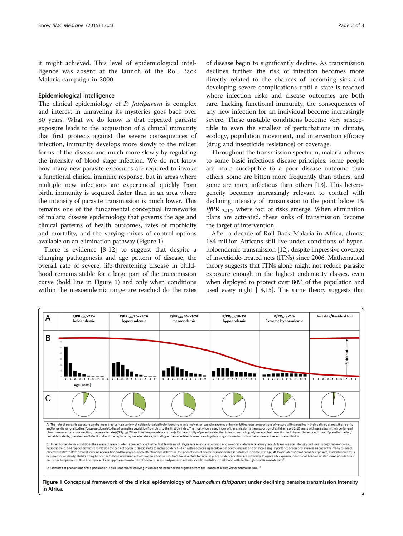it might achieved. This level of epidemiological intelligence was absent at the launch of the Roll Back Malaria campaign in 2000.

### Epidemiological intelligence

The clinical epidemiology of P. falciparum is complex and interest in unraveling its mysteries goes back over 80 years. What we do know is that repeated parasite exposure leads to the acquisition of a clinical immunity that first protects against the severe consequences of infection, immunity develops more slowly to the milder forms of the disease and much more slowly by regulating the intensity of blood stage infection. We do not know how many new parasite exposures are required to invoke a functional clinical immune response, but in areas where multiple new infections are experienced quickly from birth, immunity is acquired faster than in an area where the intensity of parasite transmission is much lower. This remains one of the fundamental conceptual frameworks of malaria disease epidemiology that governs the age and clinical patterns of health outcomes, rates of morbidity and mortality, and the varying mixes of control options available on an elimination pathway (Figure 1).

There is evidence [[8-12](#page-2-0)] to suggest that despite a changing pathogenesis and age pattern of disease, the overall rate of severe, life-threatening disease in childhood remains stable for a large part of the transmission curve (bold line in Figure 1) and only when conditions within the mesoendemic range are reached do the rates of disease begin to significantly decline. As transmission declines further, the risk of infection becomes more directly related to the chances of becoming sick and developing severe complications until a state is reached where infection risks and disease outcomes are both rare. Lacking functional immunity, the consequences of any new infection for an individual become increasingly severe. These unstable conditions become very susceptible to even the smallest of perturbations in climate, ecology, population movement, and intervention efficacy (drug and insecticide resistance) or coverage.

Throughout the transmission spectrum, malaria adheres to some basic infectious disease principles: some people are more susceptible to a poor disease outcome than others, some are bitten more frequently than others, and some are more infectious than others [[13](#page-2-0)]. This heterogeneity becomes increasingly relevant to control with declining intensity of transmission to the point below 1% *PfPR*  $_{2-10}$ , where foci of risks emerge. When elimination plans are activated, these sinks of transmission become the target of intervention.

After a decade of Roll Back Malaria in Africa, almost 184 million Africans still live under conditions of hyperholoendemic transmission [\[12\]](#page-2-0), despite impressive coverage of insecticide-treated nets (ITNs) since 2006. Mathematical theory suggests that ITNs alone might not reduce parasite exposure enough in the highest endemicity classes, even when deployed to protect over 80% of the population and used every night [[14,15\]](#page-2-0). The same theory suggests that